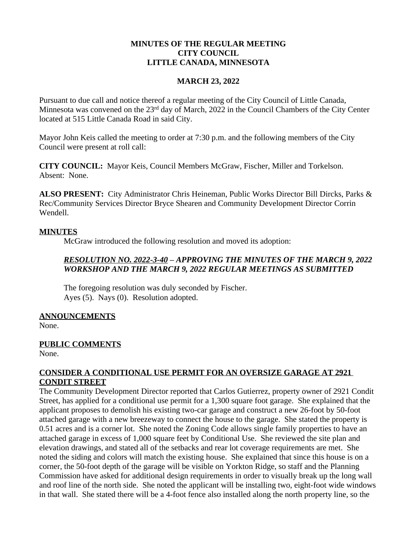### **MINUTES OF THE REGULAR MEETING CITY COUNCIL LITTLE CANADA, MINNESOTA**

#### **MARCH 23, 2022**

Pursuant to due call and notice thereof a regular meeting of the City Council of Little Canada, Minnesota was convened on the 23rd day of March, 2022 in the Council Chambers of the City Center located at 515 Little Canada Road in said City.

Mayor John Keis called the meeting to order at 7:30 p.m. and the following members of the City Council were present at roll call:

**CITY COUNCIL:** Mayor Keis, Council Members McGraw, Fischer, Miller and Torkelson. Absent: None.

**ALSO PRESENT:** City Administrator Chris Heineman, Public Works Director Bill Dircks, Parks & Rec/Community Services Director Bryce Shearen and Community Development Director Corrin Wendell.

#### **MINUTES**

McGraw introduced the following resolution and moved its adoption:

# *RESOLUTION NO. 2022-3-40 – APPROVING THE MINUTES OF THE MARCH 9, 2022 WORKSHOP AND THE MARCH 9, 2022 REGULAR MEETINGS AS SUBMITTED*

The foregoing resolution was duly seconded by Fischer. Ayes (5). Nays (0). Resolution adopted.

## **ANNOUNCEMENTS**

None.

## **PUBLIC COMMENTS**

None.

## **CONSIDER A CONDITIONAL USE PERMIT FOR AN OVERSIZE GARAGE AT 2921 CONDIT STREET**

The Community Development Director reported that Carlos Gutierrez, property owner of 2921 Condit Street, has applied for a conditional use permit for a 1,300 square foot garage. She explained that the applicant proposes to demolish his existing two-car garage and construct a new 26-foot by 50-foot attached garage with a new breezeway to connect the house to the garage. She stated the property is 0.51 acres and is a corner lot. She noted the Zoning Code allows single family properties to have an attached garage in excess of 1,000 square feet by Conditional Use. She reviewed the site plan and elevation drawings, and stated all of the setbacks and rear lot coverage requirements are met. She noted the siding and colors will match the existing house. She explained that since this house is on a corner, the 50-foot depth of the garage will be visible on Yorkton Ridge, so staff and the Planning Commission have asked for additional design requirements in order to visually break up the long wall and roof line of the north side. She noted the applicant will be installing two, eight-foot wide windows in that wall. She stated there will be a 4-foot fence also installed along the north property line, so the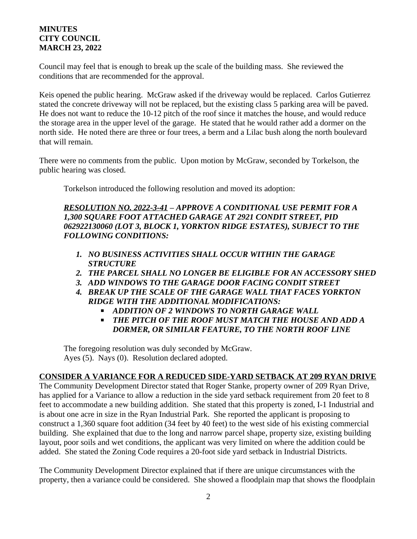Council may feel that is enough to break up the scale of the building mass. She reviewed the conditions that are recommended for the approval.

Keis opened the public hearing. McGraw asked if the driveway would be replaced. Carlos Gutierrez stated the concrete driveway will not be replaced, but the existing class 5 parking area will be paved. He does not want to reduce the 10-12 pitch of the roof since it matches the house, and would reduce the storage area in the upper level of the garage. He stated that he would rather add a dormer on the north side. He noted there are three or four trees, a berm and a Lilac bush along the north boulevard that will remain.

There were no comments from the public. Upon motion by McGraw, seconded by Torkelson, the public hearing was closed.

Torkelson introduced the following resolution and moved its adoption:

## *RESOLUTION NO. 2022-3-41 – APPROVE A CONDITIONAL USE PERMIT FOR A 1,300 SQUARE FOOT ATTACHED GARAGE AT 2921 CONDIT STREET, PID 062922130060 (LOT 3, BLOCK 1, YORKTON RIDGE ESTATES), SUBJECT TO THE FOLLOWING CONDITIONS:*

- *1. NO BUSINESS ACTIVITIES SHALL OCCUR WITHIN THE GARAGE STRUCTURE*
- *2. THE PARCEL SHALL NO LONGER BE ELIGIBLE FOR AN ACCESSORY SHED*
- *3. ADD WINDOWS TO THE GARAGE DOOR FACING CONDIT STREET*
- *4. BREAK UP THE SCALE OF THE GARAGE WALL THAT FACES YORKTON RIDGE WITH THE ADDITIONAL MODIFICATIONS:*
	- *ADDITION OF 2 WINDOWS TO NORTH GARAGE WALL*
	- *THE PITCH OF THE ROOF MUST MATCH THE HOUSE AND ADD A DORMER, OR SIMILAR FEATURE, TO THE NORTH ROOF LINE*

The foregoing resolution was duly seconded by McGraw. Ayes (5). Nays (0). Resolution declared adopted.

## **CONSIDER A VARIANCE FOR A REDUCED SIDE-YARD SETBACK AT 209 RYAN DRIVE**

The Community Development Director stated that Roger Stanke, property owner of 209 Ryan Drive, has applied for a Variance to allow a reduction in the side yard setback requirement from 20 feet to 8 feet to accommodate a new building addition. She stated that this property is zoned, I-1 Industrial and is about one acre in size in the Ryan Industrial Park. She reported the applicant is proposing to construct a 1,360 square foot addition (34 feet by 40 feet) to the west side of his existing commercial building. She explained that due to the long and narrow parcel shape, property size, existing building layout, poor soils and wet conditions, the applicant was very limited on where the addition could be added. She stated the Zoning Code requires a 20-foot side yard setback in Industrial Districts.

The Community Development Director explained that if there are unique circumstances with the property, then a variance could be considered. She showed a floodplain map that shows the floodplain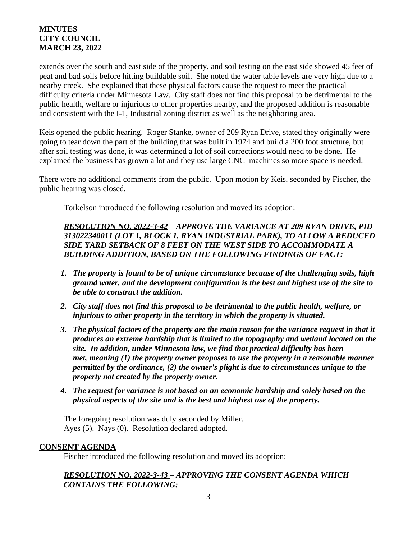extends over the south and east side of the property, and soil testing on the east side showed 45 feet of peat and bad soils before hitting buildable soil. She noted the water table levels are very high due to a nearby creek. She explained that these physical factors cause the request to meet the practical difficulty criteria under Minnesota Law. City staff does not find this proposal to be detrimental to the public health, welfare or injurious to other properties nearby, and the proposed addition is reasonable and consistent with the I-1, Industrial zoning district as well as the neighboring area.

Keis opened the public hearing. Roger Stanke, owner of 209 Ryan Drive, stated they originally were going to tear down the part of the building that was built in 1974 and build a 200 foot structure, but after soil testing was done, it was determined a lot of soil corrections would need to be done. He explained the business has grown a lot and they use large CNC machines so more space is needed.

There were no additional comments from the public. Upon motion by Keis, seconded by Fischer, the public hearing was closed.

Torkelson introduced the following resolution and moved its adoption:

## *RESOLUTION NO. 2022-3-42 – APPROVE THE VARIANCE AT 209 RYAN DRIVE, PID 313022340011 (LOT 1, BLOCK 1, RYAN INDUSTRIAL PARK), TO ALLOW A REDUCED SIDE YARD SETBACK OF 8 FEET ON THE WEST SIDE TO ACCOMMODATE A BUILDING ADDITION, BASED ON THE FOLLOWING FINDINGS OF FACT:*

- *1. The property is found to be of unique circumstance because of the challenging soils, high ground water, and the development configuration is the best and highest use of the site to be able to construct the addition.*
- *2. City staff does not find this proposal to be detrimental to the public health, welfare, or injurious to other property in the territory in which the property is situated.*
- *3. The physical factors of the property are the main reason for the variance request in that it produces an extreme hardship that is limited to the topography and wetland located on the site. In addition, under Minnesota law, we find that practical difficulty has been met, meaning (1) the property owner proposes to use the property in a reasonable manner permitted by the ordinance, (2) the owner's plight is due to circumstances unique to the property not created by the property owner.*
- *4. The request for variance is not based on an economic hardship and solely based on the physical aspects of the site and is the best and highest use of the property.*

The foregoing resolution was duly seconded by Miller. Ayes (5). Nays (0). Resolution declared adopted.

# **CONSENT AGENDA**

Fischer introduced the following resolution and moved its adoption:

# *RESOLUTION NO. 2022-3-43 – APPROVING THE CONSENT AGENDA WHICH CONTAINS THE FOLLOWING:*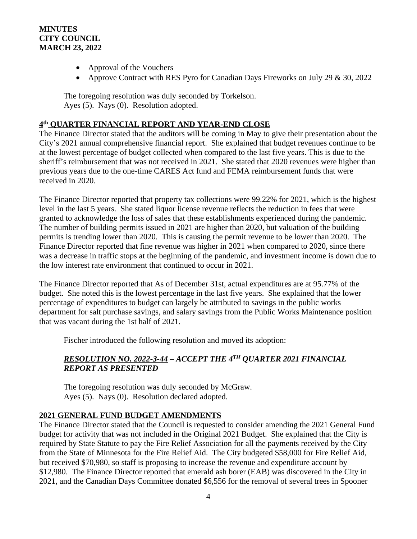- Approval of the Vouchers
- Approve Contract with RES Pyro for Canadian Days Fireworks on July 29 & 30, 2022

The foregoing resolution was duly seconded by Torkelson. Ayes (5). Nays (0). Resolution adopted.

## **4 th QUARTER FINANCIAL REPORT AND YEAR-END CLOSE**

The Finance Director stated that the auditors will be coming in May to give their presentation about the City's 2021 annual comprehensive financial report. She explained that budget revenues continue to be at the lowest percentage of budget collected when compared to the last five years. This is due to the sheriff's reimbursement that was not received in 2021. She stated that 2020 revenues were higher than previous years due to the one-time CARES Act fund and FEMA reimbursement funds that were received in 2020.

The Finance Director reported that property tax collections were 99.22% for 2021, which is the highest level in the last 5 years. She stated liquor license revenue reflects the reduction in fees that were granted to acknowledge the loss of sales that these establishments experienced during the pandemic. The number of building permits issued in 2021 are higher than 2020, but valuation of the building permits is trending lower than 2020. This is causing the permit revenue to be lower than 2020. The Finance Director reported that fine revenue was higher in 2021 when compared to 2020, since there was a decrease in traffic stops at the beginning of the pandemic, and investment income is down due to the low interest rate environment that continued to occur in 2021.

The Finance Director reported that As of December 31st, actual expenditures are at 95.77% of the budget. She noted this is the lowest percentage in the last five years. She explained that the lower percentage of expenditures to budget can largely be attributed to savings in the public works department for salt purchase savings, and salary savings from the Public Works Maintenance position that was vacant during the 1st half of 2021.

Fischer introduced the following resolution and moved its adoption:

## *RESOLUTION NO. 2022-3-44 – ACCEPT THE 4TH QUARTER 2021 FINANCIAL REPORT AS PRESENTED*

The foregoing resolution was duly seconded by McGraw. Ayes (5). Nays (0). Resolution declared adopted.

## **2021 GENERAL FUND BUDGET AMENDMENTS**

The Finance Director stated that the Council is requested to consider amending the 2021 General Fund budget for activity that was not included in the Original 2021 Budget. She explained that the City is required by State Statute to pay the Fire Relief Association for all the payments received by the City from the State of Minnesota for the Fire Relief Aid. The City budgeted \$58,000 for Fire Relief Aid, but received \$70,980, so staff is proposing to increase the revenue and expenditure account by \$12,980. The Finance Director reported that emerald ash borer (EAB) was discovered in the City in 2021, and the Canadian Days Committee donated \$6,556 for the removal of several trees in Spooner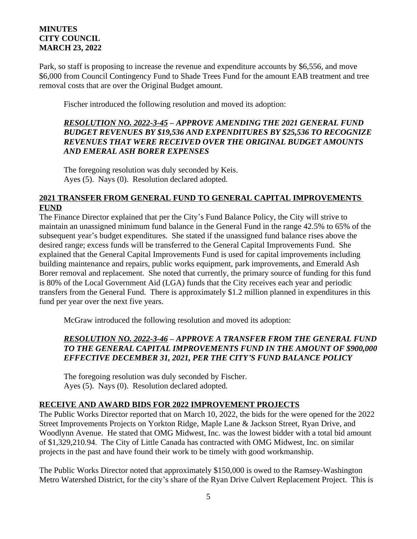Park, so staff is proposing to increase the revenue and expenditure accounts by \$6,556, and move \$6,000 from Council Contingency Fund to Shade Trees Fund for the amount EAB treatment and tree removal costs that are over the Original Budget amount.

Fischer introduced the following resolution and moved its adoption:

## *RESOLUTION NO. 2022-3-45 – APPROVE AMENDING THE 2021 GENERAL FUND BUDGET REVENUES BY \$19,536 AND EXPENDITURES BY \$25,536 TO RECOGNIZE REVENUES THAT WERE RECEIVED OVER THE ORIGINAL BUDGET AMOUNTS AND EMERAL ASH BORER EXPENSES*

The foregoing resolution was duly seconded by Keis. Ayes (5). Nays (0). Resolution declared adopted.

## **2021 TRANSFER FROM GENERAL FUND TO GENERAL CAPITAL IMPROVEMENTS FUND**

The Finance Director explained that per the City's Fund Balance Policy, the City will strive to maintain an unassigned minimum fund balance in the General Fund in the range 42.5% to 65% of the subsequent year's budget expenditures. She stated if the unassigned fund balance rises above the desired range; excess funds will be transferred to the General Capital Improvements Fund. She explained that the General Capital Improvements Fund is used for capital improvements including building maintenance and repairs, public works equipment, park improvements, and Emerald Ash Borer removal and replacement. She noted that currently, the primary source of funding for this fund is 80% of the Local Government Aid (LGA) funds that the City receives each year and periodic transfers from the General Fund. There is approximately \$1.2 million planned in expenditures in this fund per year over the next five years.

McGraw introduced the following resolution and moved its adoption:

# *RESOLUTION NO. 2022-3-46 – APPROVE A TRANSFER FROM THE GENERAL FUND TO THE GENERAL CAPITAL IMPROVEMENTS FUND IN THE AMOUNT OF \$900,000 EFFECTIVE DECEMBER 31, 2021, PER THE CITY'S FUND BALANCE POLICY*

The foregoing resolution was duly seconded by Fischer. Ayes (5). Nays (0). Resolution declared adopted.

## **RECEIVE AND AWARD BIDS FOR 2022 IMPROVEMENT PROJECTS**

The Public Works Director reported that on March 10, 2022, the bids for the were opened for the 2022 Street Improvements Projects on Yorkton Ridge, Maple Lane & Jackson Street, Ryan Drive, and Woodlynn Avenue. He stated that OMG Midwest, Inc. was the lowest bidder with a total bid amount of \$1,329,210.94. The City of Little Canada has contracted with OMG Midwest, Inc. on similar projects in the past and have found their work to be timely with good workmanship.

The Public Works Director noted that approximately \$150,000 is owed to the Ramsey-Washington Metro Watershed District, for the city's share of the Ryan Drive Culvert Replacement Project. This is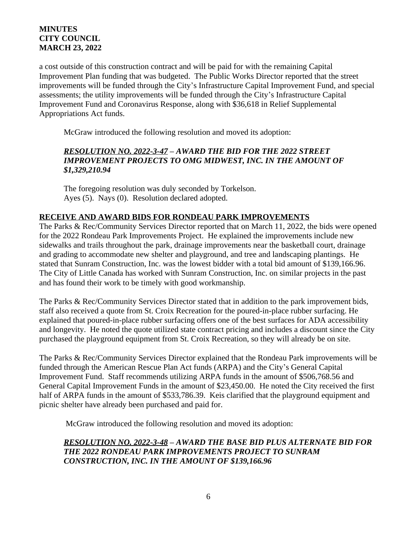a cost outside of this construction contract and will be paid for with the remaining Capital Improvement Plan funding that was budgeted. The Public Works Director reported that the street improvements will be funded through the City's Infrastructure Capital Improvement Fund, and special assessments; the utility improvements will be funded through the City's Infrastructure Capital Improvement Fund and Coronavirus Response, along with \$36,618 in Relief Supplemental Appropriations Act funds.

McGraw introduced the following resolution and moved its adoption:

## *RESOLUTION NO. 2022-3-47 – AWARD THE BID FOR THE 2022 STREET IMPROVEMENT PROJECTS TO OMG MIDWEST, INC. IN THE AMOUNT OF \$1,329,210.94*

The foregoing resolution was duly seconded by Torkelson. Ayes (5). Nays (0). Resolution declared adopted.

## **RECEIVE AND AWARD BIDS FOR RONDEAU PARK IMPROVEMENTS**

The Parks & Rec/Community Services Director reported that on March 11, 2022, the bids were opened for the 2022 Rondeau Park Improvements Project. He explained the improvements include new sidewalks and trails throughout the park, drainage improvements near the basketball court, drainage and grading to accommodate new shelter and playground, and tree and landscaping plantings. He stated that Sunram Construction, Inc. was the lowest bidder with a total bid amount of \$139,166.96. The City of Little Canada has worked with Sunram Construction, Inc. on similar projects in the past and has found their work to be timely with good workmanship.

The Parks & Rec/Community Services Director stated that in addition to the park improvement bids, staff also received a quote from St. Croix Recreation for the poured-in-place rubber surfacing. He explained that poured-in-place rubber surfacing offers one of the best surfaces for ADA accessibility and longevity. He noted the quote utilized state contract pricing and includes a discount since the City purchased the playground equipment from St. Croix Recreation, so they will already be on site.

The Parks & Rec/Community Services Director explained that the Rondeau Park improvements will be funded through the American Rescue Plan Act funds (ARPA) and the City's General Capital Improvement Fund. Staff recommends utilizing ARPA funds in the amount of \$506,768.56 and General Capital Improvement Funds in the amount of \$23,450.00. He noted the City received the first half of ARPA funds in the amount of \$533,786.39. Keis clarified that the playground equipment and picnic shelter have already been purchased and paid for.

McGraw introduced the following resolution and moved its adoption:

## *RESOLUTION NO. 2022-3-48 – AWARD THE BASE BID PLUS ALTERNATE BID FOR THE 2022 RONDEAU PARK IMPROVEMENTS PROJECT TO SUNRAM CONSTRUCTION, INC. IN THE AMOUNT OF \$139,166.96*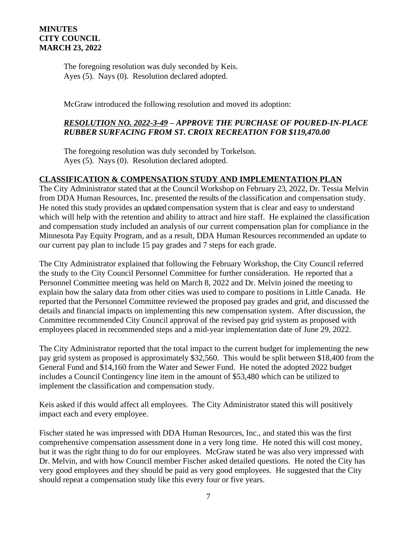The foregoing resolution was duly seconded by Keis. Ayes (5). Nays (0). Resolution declared adopted.

McGraw introduced the following resolution and moved its adoption:

# *RESOLUTION NO. 2022-3-49 – APPROVE THE PURCHASE OF POURED-IN-PLACE RUBBER SURFACING FROM ST. CROIX RECREATION FOR \$119,470.00*

The foregoing resolution was duly seconded by Torkelson. Ayes (5). Nays (0). Resolution declared adopted.

#### **CLASSIFICATION & COMPENSATION STUDY AND IMPLEMENTATION PLAN**

The City Administrator stated that at the Council Workshop on February 23, 2022, Dr. Tessia Melvin from DDA Human Resources, Inc. presented the results of the classification and compensation study. He noted this study provides an updated compensation system that is clear and easy to understand which will help with the retention and ability to attract and hire staff. He explained the classification and compensation study included an analysis of our current compensation plan for compliance in the Minnesota Pay Equity Program, and as a result, DDA Human Resources recommended an update to our current pay plan to include 15 pay grades and 7 steps for each grade.

The City Administrator explained that following the February Workshop, the City Council referred the study to the City Council Personnel Committee for further consideration. He reported that a Personnel Committee meeting was held on March 8, 2022 and Dr. Melvin joined the meeting to explain how the salary data from other cities was used to compare to positions in Little Canada. He reported that the Personnel Committee reviewed the proposed pay grades and grid, and discussed the details and financial impacts on implementing this new compensation system. After discussion, the Committee recommended City Council approval of the revised pay grid system as proposed with employees placed in recommended steps and a mid-year implementation date of June 29, 2022.

The City Administrator reported that the total impact to the current budget for implementing the new pay grid system as proposed is approximately \$32,560. This would be split between \$18,400 from the General Fund and \$14,160 from the Water and Sewer Fund. He noted the adopted 2022 budget includes a Council Contingency line item in the amount of \$53,480 which can be utilized to implement the classification and compensation study.

Keis asked if this would affect all employees. The City Administrator stated this will positively impact each and every employee.

Fischer stated he was impressed with DDA Human Resources, Inc., and stated this was the first comprehensive compensation assessment done in a very long time. He noted this will cost money, but it was the right thing to do for our employees. McGraw stated he was also very impressed with Dr. Melvin, and with how Council member Fischer asked detailed questions. He noted the City has very good employees and they should be paid as very good employees. He suggested that the City should repeat a compensation study like this every four or five years.